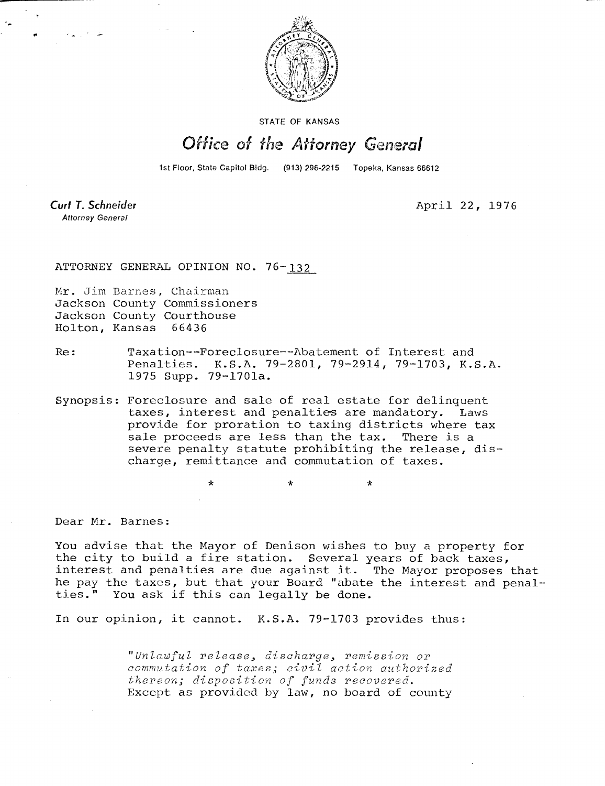

STATE OF KANSAS

## Office of the Attorney General

1st Floor, State Capitol Bldg. (913) 296-2215 Topeka, Kansas 66612

Curt T. Schneider **Attorney General** 

April 22, 1976

ATTORNEY GENERAL OPINION NO. 76-132

Mr. Jim Barnes, Chairman Jackson County Commissioners Jackson County Courthouse Holton, Kansas 66436

Re: Taxation--Foreclosure--Abatement of Interest and Penalties. K.S.A. 79-2801, 79-2914, 79-1703, K.S.A. 1975 Supp. 79-1701a.

Synopsis: Foreclosure and sale of real estate for delinquent taxes, interest and penalties are mandatory. Laws provide for proration to taxing districts where tax sale proceeds are less than the tax. There is a severe penalty statute prohibiting the release, discharge, remittance and commutation of taxes.

Dear Mr. Barnes:

You advise that the Mayor of Denison wishes to buy a property for the city to build a fire station. Several years of back taxes, interest and penalties are due against it. The Mayor proposes that he pay the taxes, but that your Board "abate the interest and penalties." You ask if this can legally be done.

\*

In our opinion, it cannot. K.S.A. 79-1703 provides thus:

"Unlawful release, discharge, remission or commutation of taxes; civil action authorized thereon; disposition of funds recovered. Except as provided by law, no board of county